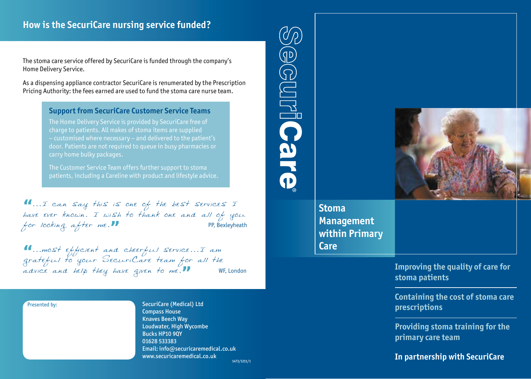# **How is the SecuriCare nursing service funded?**

The stoma care service offered by SecuriCare is funded through the company's Home Delivery Service.

As a dispensing appliance contractor SecuriCare is renumerated by the Prescription Pricing Authority: the fees earned are used to fund the stoma care nurse team.

#### **Support from SecuriCare Customer Service Teams**

The Home Delivery Service is provided by SecuriCare free of charge to patients. All makes of stoma items are supplied – customised where necessary – and delivered to the patient's door. Patients are not required to queue in busy pharmacies or carry home bulky packages.

The Customer Service Team offers further support to stoma patients, including a Careline with product and lifestyle advice.

**"**...I can say this is one of the best services I have ever known. I wish to thank one and all of you for looking after me.<sup>99</sup>

**"**...most efficient and cheerful service...I am grateful to your SecuriCare team for all the advice and help they have given to me.**"** WF, London

#### Presented by:

SecuriCare (Medical) Ltd Compass House Knaves Beech Way Loudwater, High Wycombe Bucks HP10 9QY 01628 533383 Email: info@securicaremedical.co.uk www.securicaremedical.co.uk



**Improving the quality of care for stoma patients**

**Containing the cost of stoma care prescriptions**

**Providing stoma training for the primary care team**

### **In partnership with SecuriCare**

1473/1211/1